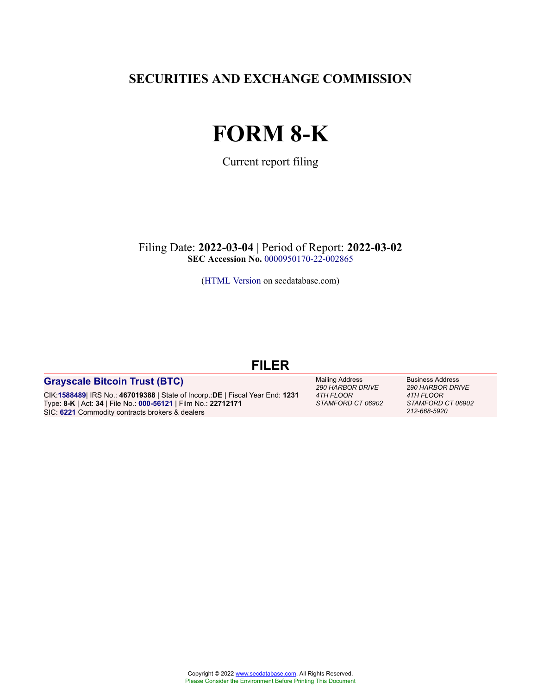**SECURITIES AND EXCHANGE COMMISSION**

# **FORM 8-K**

Current report filing

Filing Date: **2022-03-04** | Period of Report: **2022-03-02 SEC Accession No.** [0000950170-22-002865](http://www.sec.gov/Archives/edgar/data/0001588489/000095017022002865/0000950170-22-002865-index.htm)

[\(HTML Version](http://edgar.secdatabase.com/2499/95017022002865/filing-main.htm) on secdatabase.com)

### **FILER**

#### **[Grayscale Bitcoin Trust \(BTC\)](https://research.secdatabase.com/CIK/1588489)**

CIK:**[1588489](https://research.secdatabase.com/CIK/1588489)**| IRS No.: **467019388** | State of Incorp.:**DE** | Fiscal Year End: **1231** Type: **8-K** | Act: **34** | File No.: **[000-56121](https://research.secdatabase.com/FileNumber/56121)** | Film No.: **22712171** SIC: **[6221](https://research.secdatabase.com/SIC/6221)** Commodity contracts brokers & dealers

Mailing Address *290 HARBOR DRIVE 4TH FLOOR STAMFORD CT 06902* Business Address *290 HARBOR DRIVE 4TH FLOOR STAMFORD CT 06902 212-668-5920*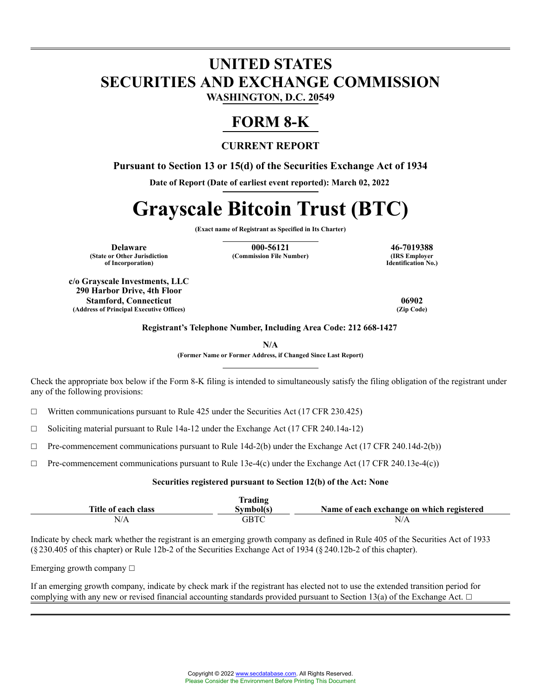## **UNITED STATES SECURITIES AND EXCHANGE COMMISSION WASHINGTON, D.C. 20549**

# **FORM 8-K**

#### **CURRENT REPORT**

**Pursuant to Section 13 or 15(d) of the Securities Exchange Act of 1934**

**Date of Report (Date of earliest event reported): March 02, 2022**

# **Grayscale Bitcoin Trust (BTC)**

**(Exact name of Registrant as Specified in Its Charter)**

**(State or Other Jurisdiction of Incorporation)**

**Delaware 146-7019388**<br> **146-7019388**<br> **188 Employer 121 (Commission File Number) 121 (IRS Employer**) **(Commission File Number)** 

**Identification No.)**

**c/o Grayscale Investments, LLC 290 Harbor Drive, 4th Floor Stamford, Connecticut 06902 (Address of Principal Executive Offices) (Zip Code)**

**Registrant's Telephone Number, Including Area Code: 212 668-1427**

**N/A**

**(Former Name or Former Address, if Changed Since Last Report)**

Check the appropriate box below if the Form 8-K filing is intended to simultaneously satisfy the filing obligation of the registrant under any of the following provisions:

 $\Box$  Written communications pursuant to Rule 425 under the Securities Act (17 CFR 230.425)

☐ Soliciting material pursuant to Rule 14a-12 under the Exchange Act (17 CFR 240.14a-12)

 $\Box$  Pre-commencement communications pursuant to Rule 14d-2(b) under the Exchange Act (17 CFR 240.14d-2(b))

 $\Box$  Pre-commencement communications pursuant to Rule 13e-4(c) under the Exchange Act (17 CFR 240.13e-4(c))

#### **Securities registered pursuant to Section 12(b) of the Act: None**

|                     | <b>Trading</b> |                                           |
|---------------------|----------------|-------------------------------------------|
| Title of each class | Svmbol(s)      | Name of each exchange on which registered |
| N/A                 | GBTC           | N/A                                       |

Indicate by check mark whether the registrant is an emerging growth company as defined in Rule 405 of the Securities Act of 1933 (§ 230.405 of this chapter) or Rule 12b-2 of the Securities Exchange Act of 1934 (§ 240.12b-2 of this chapter).

Emerging growth company  $\Box$ 

If an emerging growth company, indicate by check mark if the registrant has elected not to use the extended transition period for complying with any new or revised financial accounting standards provided pursuant to Section 13(a) of the Exchange Act.  $\Box$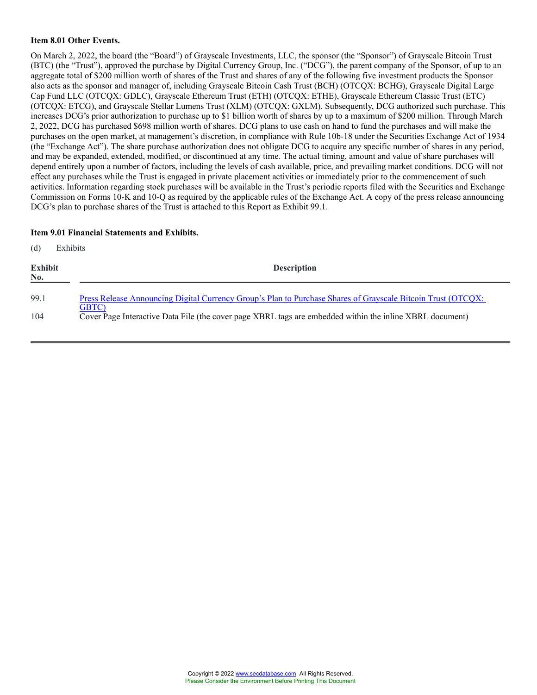#### **Item 8.01 Other Events.**

On March 2, 2022, the board (the "Board") of Grayscale Investments, LLC, the sponsor (the "Sponsor") of Grayscale Bitcoin Trust (BTC) (the "Trust"), approved the purchase by Digital Currency Group, Inc. ("DCG"), the parent company of the Sponsor, of up to an aggregate total of \$200 million worth of shares of the Trust and shares of any of the following five investment products the Sponsor also acts as the sponsor and manager of, including Grayscale Bitcoin Cash Trust (BCH) (OTCQX: BCHG), Grayscale Digital Large Cap Fund LLC (OTCQX: GDLC), Grayscale Ethereum Trust (ETH) (OTCQX: ETHE), Grayscale Ethereum Classic Trust (ETC) (OTCQX: ETCG), and Grayscale Stellar Lumens Trust (XLM) (OTCQX: GXLM). Subsequently, DCG authorized such purchase. This increases DCG's prior authorization to purchase up to \$1 billion worth of shares by up to a maximum of \$200 million. Through March 2, 2022, DCG has purchased \$698 million worth of shares. DCG plans to use cash on hand to fund the purchases and will make the purchases on the open market, at management's discretion, in compliance with Rule 10b-18 under the Securities Exchange Act of 1934 (the "Exchange Act"). The share purchase authorization does not obligate DCG to acquire any specific number of shares in any period, and may be expanded, extended, modified, or discontinued at any time. The actual timing, amount and value of share purchases will depend entirely upon a number of factors, including the levels of cash available, price, and prevailing market conditions. DCG will not effect any purchases while the Trust is engaged in private placement activities or immediately prior to the commencement of such activities. Information regarding stock purchases will be available in the Trust's periodic reports filed with the Securities and Exchange Commission on Forms 10-K and 10-Q as required by the applicable rules of the Exchange Act. A copy of the press release announcing DCG's plan to purchase shares of the Trust is attached to this Report as Exhibit 99.1.

#### **Item 9.01 Financial Statements and Exhibits.**

(d) Exhibits

| <b>Exhibit</b><br>No. | <b>Description</b>                                                                                                |
|-----------------------|-------------------------------------------------------------------------------------------------------------------|
| 99.1                  | Press Release Announcing Digital Currency Group's Plan to Purchase Shares of Grayscale Bitcoin Trust (OTCQX:      |
| 104                   | GBTC)<br>Cover Page Interactive Data File (the cover page XBRL tags are embedded within the inline XBRL document) |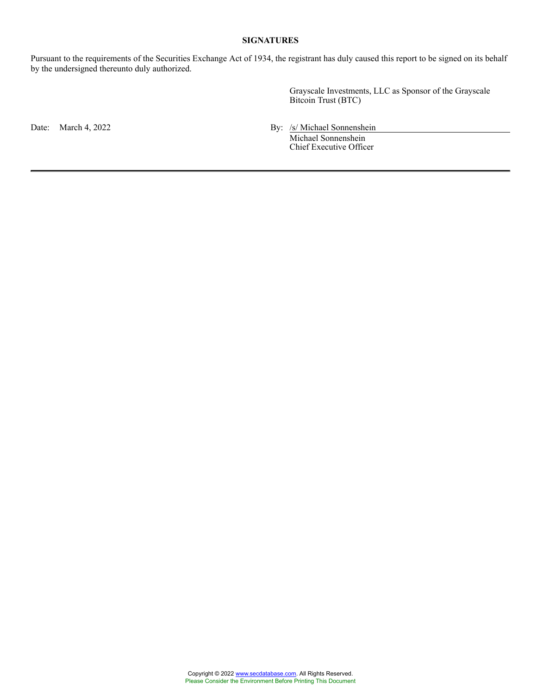#### **SIGNATURES**

Pursuant to the requirements of the Securities Exchange Act of 1934, the registrant has duly caused this report to be signed on its behalf by the undersigned thereunto duly authorized.

> Grayscale Investments, LLC as Sponsor of the Grayscale Bitcoin Trust (BTC)

Date: March 4, 2022 By: /s/ Michael Sonnenshein

Michael Sonnenshein Chief Executive Officer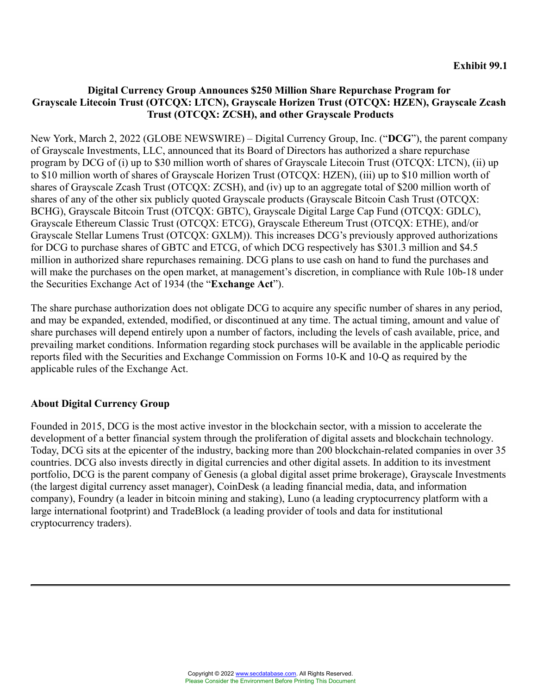### **Digital Currency Group Announces \$250 Million Share Repurchase Program for Grayscale Litecoin Trust (OTCQX: LTCN), Grayscale Horizen Trust (OTCQX: HZEN), Grayscale Zcash Trust (OTCQX: ZCSH), and other Grayscale Products**

New York, March 2, 2022 (GLOBE NEWSWIRE) – Digital Currency Group, Inc. ("**DCG**"), the parent company of Grayscale Investments, LLC, announced that its Board of Directors has authorized a share repurchase program by DCG of (i) up to \$30 million worth of shares of Grayscale Litecoin Trust (OTCQX: LTCN), (ii) up to \$10 million worth of shares of Grayscale Horizen Trust (OTCQX: HZEN), (iii) up to \$10 million worth of shares of Grayscale Zcash Trust (OTCQX: ZCSH), and (iv) up to an aggregate total of \$200 million worth of shares of any of the other six publicly quoted Grayscale products (Grayscale Bitcoin Cash Trust (OTCQX: BCHG), Grayscale Bitcoin Trust (OTCQX: GBTC), Grayscale Digital Large Cap Fund (OTCQX: GDLC), Grayscale Ethereum Classic Trust (OTCQX: ETCG), Grayscale Ethereum Trust (OTCQX: ETHE), and/or Grayscale Stellar Lumens Trust (OTCQX: GXLM)). This increases DCG's previously approved authorizations for DCG to purchase shares of GBTC and ETCG, of which DCG respectively has \$301.3 million and \$4.5 million in authorized share repurchases remaining. DCG plans to use cash on hand to fund the purchases and will make the purchases on the open market, at management's discretion, in compliance with Rule 10b-18 under the Securities Exchange Act of 1934 (the "**Exchange Act**").

The share purchase authorization does not obligate DCG to acquire any specific number of shares in any period, and may be expanded, extended, modified, or discontinued at any time. The actual timing, amount and value of share purchases will depend entirely upon a number of factors, including the levels of cash available, price, and prevailing market conditions. Information regarding stock purchases will be available in the applicable periodic reports filed with the Securities and Exchange Commission on Forms 10-K and 10-Q as required by the applicable rules of the Exchange Act.

### **About Digital Currency Group**

Founded in 2015, DCG is the most active investor in the blockchain sector, with a mission to accelerate the development of a better financial system through the proliferation of digital assets and blockchain technology. Today, DCG sits at the epicenter of the industry, backing more than 200 blockchain-related companies in over 35 countries. DCG also invests directly in digital currencies and other digital assets. In addition to its investment portfolio, DCG is the parent company of Genesis (a global digital asset prime brokerage), Grayscale Investments (the largest digital currency asset manager), CoinDesk (a leading financial media, data, and information company), Foundry (a leader in bitcoin mining and staking), Luno (a leading cryptocurrency platform with a large international footprint) and TradeBlock (a leading provider of tools and data for institutional cryptocurrency traders).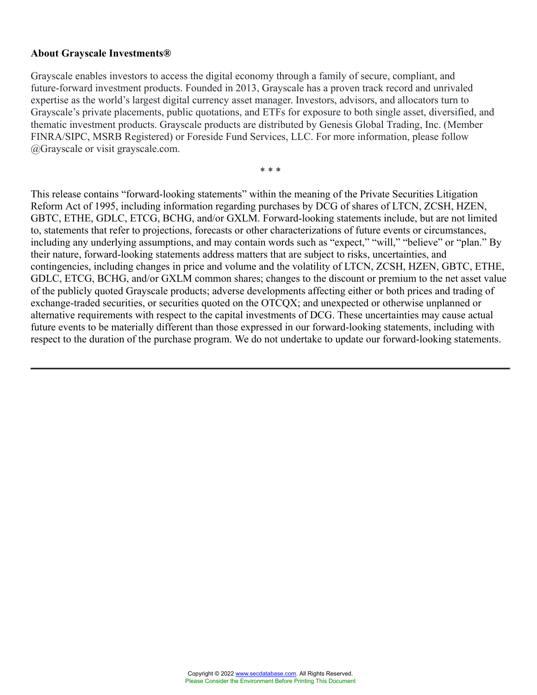#### **About Grayscale Investments®**

Grayscale enables investors to access the digital economy through a family of secure, compliant, and future-forward investment products. Founded in 2013, Grayscale has a proven track record and unrivaled expertise as the world's largest digital currency asset manager. Investors, advisors, and allocators turn to Grayscale's private placements, public quotations, and ETFs for exposure to both single asset, diversified, and thematic investment products. Grayscale products are distributed by Genesis Global Trading, Inc. (Member FINRA/SIPC, MSRB Registered) or Foreside Fund Services, LLC. For more information, please follow @Grayscale or visit grayscale.com.

\* \* \*

This release contains "forward-looking statements" within the meaning of the Private Securities Litigation Reform Act of 1995, including information regarding purchases by DCG of shares of LTCN, ZCSH, HZEN, GBTC, ETHE, GDLC, ETCG, BCHG, and/or GXLM. Forward-looking statements include, but are not limited to, statements that refer to projections, forecasts or other characterizations of future events or circumstances, including any underlying assumptions, and may contain words such as "expect," "will," "believe" or "plan." By their nature, forward-looking statements address matters that are subject to risks, uncertainties, and contingencies, including changes in price and volume and the volatility of LTCN, ZCSH, HZEN, GBTC, ETHE, GDLC, ETCG, BCHG, and/or GXLM common shares; changes to the discount or premium to the net asset value of the publicly quoted Grayscale products; adverse developments affecting either or both prices and trading of exchange-traded securities, or securities quoted on the OTCQX; and unexpected or otherwise unplanned or alternative requirements with respect to the capital investments of DCG. These uncertainties may cause actual future events to be materially different than those expressed in our forward-looking statements, including with respect to the duration of the purchase program. We do not undertake to update our forward-looking statements.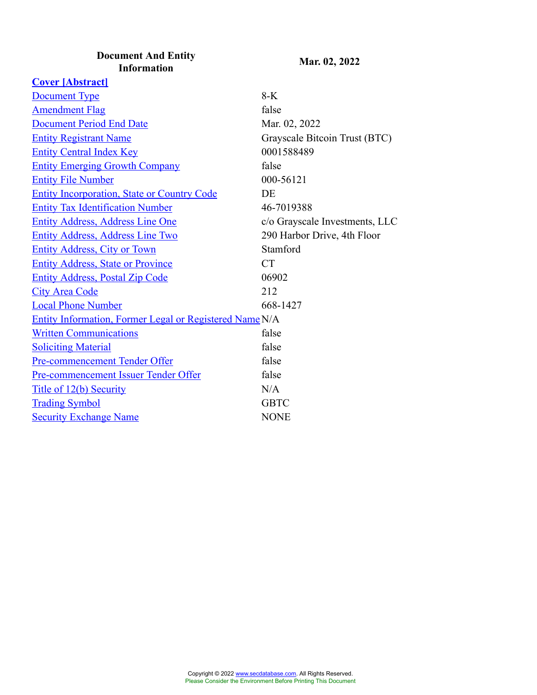#### **Document And Entity Information Mar. 02, 2022**

**[Cover \[Abstract\]](javascript:void(0);)** [Document Type](javascript:void(0);) 8-K [Amendment Flag](javascript:void(0);) false [Document Period End Date](javascript:void(0);) Mar. 02, 2022 [Entity Registrant Name](javascript:void(0);) Grayscale Bitcoin Trust (BTC) [Entity Central Index Key](javascript:void(0);) 0001588489 [Entity Emerging Growth Company](javascript:void(0);) false [Entity File Number](javascript:void(0);) 000-56121 [Entity Incorporation, State or Country Code](javascript:void(0);) DE [Entity Tax Identification Number](javascript:void(0);) 46-7019388 [Entity Address, Address Line One](javascript:void(0);) c/o Grayscale Investments, LLC [Entity Address, Address Line Two](javascript:void(0);) 290 Harbor Drive, 4th Floor [Entity Address, City or Town](javascript:void(0);) Stamford [Entity Address, State or Province](javascript:void(0);) CT [Entity Address, Postal Zip Code](javascript:void(0);) 06902 [City Area Code](javascript:void(0);) 212 [Local Phone Number](javascript:void(0);) 668-1427 [Entity Information, Former Legal or Registered Name](javascript:void(0);) N/A [Written Communications](javascript:void(0);) false [Soliciting Material](javascript:void(0);) false [Pre-commencement Tender Offer](javascript:void(0);) false [Pre-commencement Issuer Tender Offer](javascript:void(0);) false [Title of 12\(b\) Security](javascript:void(0);) N/A [Trading Symbol](javascript:void(0);) GBTC [Security Exchange Name](javascript:void(0);) NONE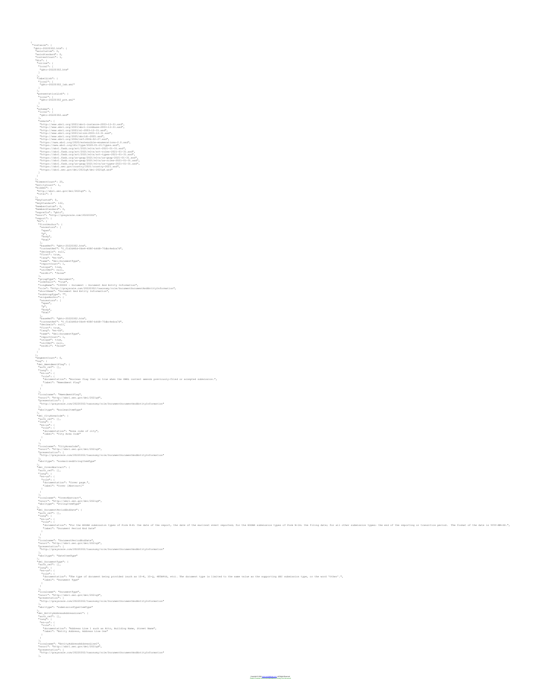{<br>
"instance": {<br>
"gbtc-20220302.htm": {<br>
"axisCustom": 0,<br>
"axisStandard": 0,<br>
"contextCount": 1,<br>
"dts": {<br>
"inline": {<br>
"local": {<br>
"ybtc-20220302.htm"<br>
} }, "labelLink": { "local": [ "gbtc-20220302\_lab.xml" ] }, "presentationLink": { "local": [ "gbtc-20220302\_pre.xml" ] }, "schema": { "local": [  $\begin{small} &\texttt{v}[\texttt{a}]=2251252,\\ &\texttt{v}[\texttt{a}]=225125,\\ &\texttt{h}[\texttt{a}=\texttt{b}=\texttt{b}=\texttt{b}=\texttt{b}=\texttt{b}=\texttt{b}=\texttt{b}=\texttt{b}=\texttt{b}=\texttt{b}=\texttt{b}=\texttt{b}=\texttt{b}=\texttt{b}=\texttt{b}=\texttt{b}=\texttt{b}=\texttt{b}=\texttt{b}=\texttt{b}=\texttt{b}=\texttt{b}=\texttt{b}=\texttt{b}=\texttt{b}=\texttt{b}=\$ ),<br>"entityCount": 25,<br>"entityCount": 1,<br>"hidden": {<br>"http://xbrl.sec.gov/dei/2021q4": 3,<br>"total": 3 },<br>
\* keyStandard": 0,<br>
"memberCustom": 0,<br>
"memberCustom": 0,<br>
"memberStandard": 0,<br>
"memberCustom": "gbtc",<br>
"span", "p",<br>
"span",<br>
"firstAnchor": {<br>
"firstAnchor": {<br>
"firstAnchor": {<br>
"firstAnchor": {<br>
"p",<br>
"body",<br>
" These<br>Maritim (microsoft) (1987–1992)<br>Charles Commission (1988–1992–1968–1958)<br>Charles Commission<br>Theory (1988)<br>Theory (1988–1992)<br>Theory (1988–1993)<br>Theory (1988–1993)<br>Theory (1988–1993)<br>Theory (1988–1993)<br>Theory (1988–19 "isotelli", "true",<br>"isotelli", "true", noromet, - Documet, And Beilty Information",<br>"monglam": "100000 venda energy 2022033/tanonswy/cole/DocumentRocmmetRodEntityInformation",<br>"midlesoup?ppe"; "t<br>"midlesoup?ppe"; "t<br>"midl  $\begin{array}{l} \textbf{P}_{\text{2D}} = \textbf{P}_{\text{2D}} \left( \textbf{P}_{\text{2D}} \right) \left( \textbf{P}_{\text{2D}} \right) \left( \textbf{P}_{\text{2D}} \right) \left( \textbf{P}_{\text{2D}} \right) \left( \textbf{P}_{\text{2D}} \right) \left( \textbf{P}_{\text{2D}} \right) \left( \textbf{P}_{\text{2D}} \right) \left( \textbf{P}_{\text{2D}} \right) \left( \textbf{P}_{\text{2D}} \right) \left( \textbf{P}_{\text{2D}} \right) \left( \textbf{P$ )<br>"Legislations": 0,<br>"AssumentCounct": 0,<br>"Assument Transfers": 1<br>"Assumentation": "Rootean filey that is true when the XBML content amends previously-filed or accepted submission.",<br>"Assumentation": "Rootean filey that is )<br>"localname": "AmendmentFlag",<br>"nsuri": "http://xbrl.sec.gov/dei/2021q4",<br>"presentation": [<br>"http://grayscale.com/20220302/taxonomy/role/DocumentDocumentAndEntityInformation" ], "xbrltype": "booleanItemType" ),<br>"auth\_ref": [],<br>"auth\_ref": [],<br>"auch": []<br>"encumentation": "Area code of city",<br>"iabel": "City Area Code"<br>"label": "City Area Code" )<br>|<br>"nsuri": "http://xbrl.sec.gov/dei/2021q4",<br>"presentation": [<br>"http://grayscale.com/20220202/taxonomy/role/DocumentDocumentAndEntityInformation"<br>"shittpype": "normalizedStringItemType"<br>"shittpype": "normalizedStringItem ),<br>"dei\_CoverAbstract": {<br>"lang": {<br>"an-us": {<br>"cocumentation": "Cover page.",<br>"label": "Cover [Abstract]"<br>"label": "Cover [Abstract]" }, "localname": "CoverAbstract", "nsuri": "http://xbrl.sec.gov/dei/2021q4", "xbrltype": "stringItemType" ).<br>"Anglist (lipser lipser" |<br>"Anglist" | lipser | lipser | lipser | lipser | lipser | lipser | lipser | lipser | lipser | lipser | lipser |<br>"Anglist" | lipser |<br>"Anglist" | "Document Pariod End Bata"<br>" libel" | "Document )<br>"localname": "DocumentPeriodEndDate",<br>"pessentation": [<br>"presentation" : [<br>"http://grayscale.com/20220302/taxonomy/role/DocumentDocumentAndEntityInformation"<br>],rtp://grayscale.com/20220302/taxonomy/role/DocumentDocumentA "xbrltype": "dateItemType" ).<br>"Aught" |<br>"Aught" |<br>"Aught" |<br>"Pocometation": "The type of document being provided (such as lot, lo-g, 483805, etc). The document type is limited to the same value as the supporting EEC submission type, or the word "Ot )<br>"localname": "DocumentType",<br>"nsuri": "http://xbrl.sec.gov/dei/2021q4",<br>"presentation": [<br>"http://grayscale.com/20220302/taxonomy/role/DocumentDocumentAndEntityInformation" ], "xbrltype": "submissionTypeItemType" <sup>1</sup>ou.<br>"auth\_re<sup>f":</sup> [],<br>"auth\_re<sup>f":</sup> [],<br>"auth<sup>1</sup>: {<br>"auth<sup>1</sup>: {<br>"auth<sup>1</sup>: "Entity Address, Address Line One"<br>"label": "Entity Address, Address Line One"<br>"label": "Entity Address, Address Line One" )<br>"localname": "EntityAddressAddressLine1",<br>"nsuri": "http://xbrl.sec.gov/dei/2021q4",<br>"Pattp://grayscale.com/20220302/taxonomy/role/DocumentDocumentAndEntityInformation"<br>"http://grayscale.com/20220302/taxonomy/role/Docume

Copyright Deserved.<br>Com. All Rights Reserved.

Please Consider the Environment Before Printing This Document

],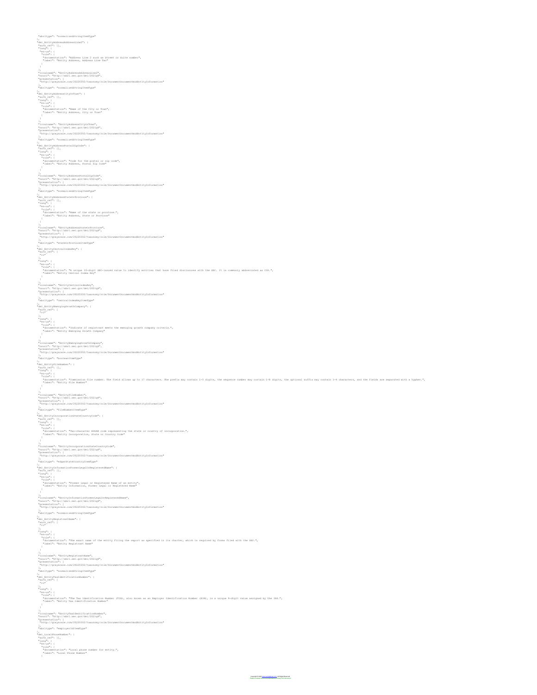"Maritype" "TommalizedStringItemType"<br>| Maritype" TommalizedStringIt" |<br>| Maritype: The Commandities2": |<br>| Maritype: | |<br>| "lang": | |<br>| "lang": "Incirty Address Line 2 such as Street or Suite number",<br>| "label": "Entity );<br>"iocalname": "EntityAddressAddressLine2",<br>"nessentation": /wat.sec.gov/dei/2021q4",<br>"http://grayscale.com/20220302/taxonomy/role/DocumentDocumentAndEntityInformation" ], "xbrltype": "normalizedStringItemType" ),<br>"auth\_ref": [],<br>"auth\_ref": [],<br>"lang": {<br>"en-us": [],<br>"documentation": "Name of the City or Town",<br>"documentation": "Name of the City or Town",<br>"label": "Entity Address, City or Town" )<br>"localname": "EntityAddressCityOrTown",<br>"nsuri": "http://xbrl.sec.gov/dei/2021q4",<br>"Pattp://grayscale.com/20220302/taxonomy/role/DocumentDocumentAndEntityInformation"<br>"http://grayscale.com/20220302/taxonomy/role/Document ], "xbrltype": "normalizedStringItemType" }, "dei\_EntityAddressPostalZipCode": { "auth\_ref": [], "lang": { "en-us": { "role": { "documentation": "Code for the postal or zip code", "label": "Entity Address, Postal Zip Code" )<br>"haulname": "EntityAddressPostaliigCode",<br>"haulname": "EntityAddressPostaliigCode",<br>"https://grayeala.com/20220202/taunomey/role/DocumentDocumentAndEntityInformation"<br>"Advitype": "normalisedIttingTtem"/pa"<br>"Advitype": "n ),<br>"aui\_EntityAddressStateOrProvince": {<br>"auth\_ref": [],<br>"auth\_ref": [],<br>"en-us": {<br>"documentation": "Name of the state or province.",<br>"label": "Entity Address, State or Province"<br>"label": "Entity Address, State or Provinc )<br>"localname": "EntityAddressStateOrProvince",<br>"passent:": "http://xbrl.sec.gov/dei/2021q4",<br>"passentation"<br>1, rtp://grayscale.com/20220302/taxonomy/role/DocumentDocumentAndEntityInformation"<br>], rtp://grayscale.com/2022030 "xbrltype": "stateOrProvinceItemType" },<br>"dei\_EntityCentralIndexKey": {<br>"auth\_ref": {<br>"r1" ),<br>"Hamp": {<br>"MacQuarterian": "A unique l0-digit SEC-issued value to identify entities that have filed disclosures with the SEC. It is commonly abbreviated as CIE.",<br>"Mocumentation": "A unique l0-digit SEC-issued value to "nsuri": "http://xbrl.sec.gov/dei/2021q4",<br>"presentation": [<br>],<br>], "xbrltype": "centralIndexKeyItemType" }, "dei\_EntityEmergingGrowthCompany": { "auth\_ref": [ "r1" ], "lang": { "en-us": { "role": {<br>"documentation": "Indicate if registrant meets the emerging growth company criteria.",<br>}<br>} ),<br>"localname": "http://xbrl.sec.gov/dei/2021q4",<br>"presentation": [<br>"http://grayscale.com/20220302/taxonomy/role/DocumentDocumentAndEntityInformation"<br>"http://grayscale.com/20220302/taxonomy/role/DocumentDocumentAndEntityI ], "xbrltype": "booleanItemType" los<br>"AmplityTickmbar": (<br>"Amplity": [<br>"Accountstant: "Commission file number. The field allows up to 17 characters. The prefix may contain 1-3 digits, the sequence number may contain 1-8 digits, the optional suffix may con )<br>"localname": "EntityFileNumber",<br>"passentation": "http://xbrl.sec.gov/dei/2021q4",<br>"passentation": [<br>], "ttp://grayscale.com/20220302/taxonomy/role/DocumentDocumentAndEntityInformation" "xbrltype": "fileNumberItemType" },<br>"dei\_EntityIncorporationStateCountryCode": {<br>"auth\_ref": [],<br>"anng": {<br>"en-us": { "documentation": "Two-character EDGAR code representing the state or country of incorporation.", "label": "Entity Incorporation, State or Country Code" } ),<br>"haulinam": "EntityIncorporationStateCountryCode",<br>"passentation": [<br>"Presentation": [<br>"http://grayeala.com/2022002/tamonomy/role/DocumentDocumentAndEntityInformation"<br>"http://pa": "edqardtateCountryTtemTypa"<br>"http://pa ion<br>"MalinityTofommationTormerLegalOrRegisteredName": {<br>"Malin<sub>i</sub>ms": {}<br>"MalinityTofom": "Tormer Legal or Registered Name of an entity",<br>"somewhetelicon": "Tormer Legal or Registered Name"<br>"labal": "Entity Information, Fo )<br>"Hacalname": "EntityInformationFormerLegalOrBegisteredName",<br>"Pacalname": "EntityInformationFormerLegalOrBegisteredName",<br>"Presentation": [<br>"Pacatype": "normalizedNtringTiemType"<br>"Pacatype": "normalizedNtringTiemType" }, "dei\_EntityRegistrantName": { "auth\_ref": [ "r1" );<br>"Hang": {<br>"Hang": {<br>"Hang": {<br>"Hacumentation": "The exact name of the entity filing the report as specified in its charter, which is required by forms filed with the BEC.",<br>"Hacumentation": "Entity Registrant Name"<br>...<br> "nsuri": "http://xbrl.sec.gov/dei/2021q4",<br>"presentation": [<br>"http://grayscale.com/20220302/taxonomy/role/DocumentDocumentAndEntityInformation"<br>], "xbrltype": "normalizedStringItemType" }, "dei\_EntityTaxIdentificationNumber": { "auth\_ref": [ "r1" ], "lang": { "en-us": { "role": {<br>"documentation": "The Tax Identification Number (TIN), also known as an Employer Identification Number (EIN), is a unique 9-digit value assigned by the IRS.",<br>"label": "Entity Tax Identification Number" ),<br>"hocalname": "http://xbr1.sec.gov/dei/2021q4",<br>"nausi": "http://xbr1.sec.gov/dei/2021q4",<br>"http://grayscale.com/20220302/taxonomy/role/DocumentDocumentAndEntityInformation" ], "xbrltype": "employerIdItemType" ),<br>
"auth\_ref": [],<br>
"auth\_ref": [],<br>
"auth\_ref": [],<br>
"en-us": {<br>
"accumentation": "Local phone number for entity.",<br>
"label": "Local Phone Number"<br>"label": "Local Phone Number"

Copyright © 2022 [www.secdatabase.com.](https://www.secdatabase.com) All Rights Reserved. Please Consider the Environment Before Printing This Document